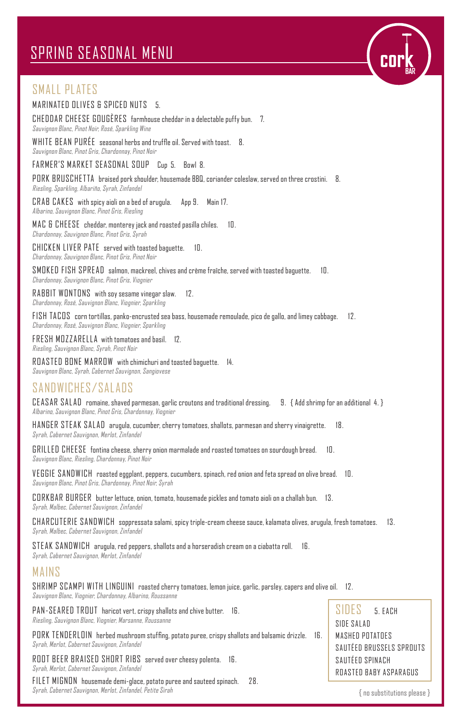# SPRING SEASONAL MENU

## SMALL PLATES

#### MARINATED OLIVES & SPICED NUTS 5.

CHEDDAR CHEESE GOUGÈRES farmhouse cheddar in a delectable puffy bun. 7. Sauvignon Blanc, Pinot Noir, Rosé, Sparkling Wine

WHITE BEAN PURÉE seasonal herbs and truffle oil. Served with toast. 8. Sauvignon Blanc, Pinot Gris, Chardonnay, Pinot Noir

FARMER'S MARKET SEASONAL SOUP Cup 5. Bowl 8.

PORK BRUSCHETTA braised pork shoulder, housemade BBQ, coriander coleslaw, served on three crostini. 8. Riesling, Sparkling, Albariño, Syrah, Zinfandel

CRAB CAKES with spicy aioli on a bed of arugula. App 9. Main 17. Albarino, Sauvignon Blanc, Pinot Gris, Riesling

MAC & CHEESE cheddar, monterey jack and roasted pasilla chiles. 10. Chardonnay, Sauvignon Blanc, Pinot Gris, Syrah

CHICKEN LIVER PATE served with toasted baguette. 10. Chardonnay, Sauvignon Blanc, Pinot Gris, Pinot Noir

SMOKED FISH SPREAD salmon, mackreel, chives and crème fraîche, served with toasted baguette. 10. Chardonnay, Sauvignon Blanc, Pinot Gris, Viognier

RABBIT WONTONS with soy sesame vinegar slaw. 12. Chardonnay, Rosé, Sauvignon Blanc, Viognier, Sparkling

FISH TACOS corn tortillas, panko-encrusted sea bass, housemade remoulade, pico de gallo, and limey cabbage. 12. Chardonnay, Rosé, Sauvignon Blanc, Viognier, Sparkling

FRESH MOZZARELLA with tomatoes and basil. 12. Riesling, Sauvignon Blanc, Syrah, Pinot Noir

ROASTED BONE MARROW with chimichuri and toasted baguette. 14. Sauvignon Blanc, Syrah, Cabernet Sauvignon, Sangiovese

### SANDWICHES/SALADS

CEASAR SALAD romaine, shaved parmesan, garlic croutons and traditional dressing. 9. { Add shrimp for an additional 4. } Albarino, Sauvignon Blanc, Pinot Gris, Chardonnay, Viognier

HANGER STEAK SALAD arugula, cucumber, cherry tomatoes, shallots, parmesan and sherry vinaigrette. 18. Syrah, Cabernet Sauvignon, Merlot, Zinfandel

GRILLED CHEESE fontina cheese, sherry onion marmalade and roasted tomatoes on sourdough bread. 10. Sauvignon Blanc, Riesling, Chardonnay, Pinot Noir

VEGGIE SANDWICH roasted eggplant, peppers, cucumbers, spinach, red onion and feta spread on olive bread. 10. Sauvignon Blanc, Pinot Gris, Chardonnay, Pinot Noir, Syrah

CORKBAR BURGER butter lettuce, onion, tomato, housemade pickles and tomato aioli on a challah bun. 13. Syrah, Malbec, Cabernet Sauvignon, Zinfandel

CHARCUTERIE SANDWICH soppressata salami, spicy triple-cream cheese sauce, kalamata olives, arugula, fresh tomatoes. 13. Syrah, Malbec, Cabernet Sauvignon, Zinfandel

STEAK SANDWICH arugula, red peppers, shallots and a horseradish cream on a ciabatta roll. 16. Syrah, Cabernet Sauvignon, Merlot, Zinfandel

#### MAINS

SHRIMP SCAMPI WITH LINGUINI roasted cherry tomatoes, lemon juice, garlic, parsley, capers and olive oil. 12. Sauvignon Blanc, Viognier, Chardonnay, Albarino, Roussanne

PAN-SEARED TROUT haricot vert, crispy shallots and chive butter. 16. Riesling, Sauvignon Blanc, Viognier, Marsanne, Roussanne

PORK TENDERLOIN herbed mushroom stuffing, potato puree, crispy shallots and balsamic drizzle. 16. Syrah, Merlot, Cabernet Sauvignon, Zinfandel

ROOT BEER BRAISED SHORT RIBS served over cheesy polenta. 16. Syrah, Merlot, Cabernet Sauvignon, Zinfandel

FILET MIGNON housemade demi-glace, potato puree and sauteed spinach. 28. Syrah, Cabernet Sauvignon, Merlot, Zinfandel, Petite Sirah  $\{$  no substitutions please  $\}$ 

SIDES 5. EACH SIDE SALAD MASHED POTATOES SAUTÉED BRUSSELS SPROUTS SAUTÉED SPINACH ROASTED BABY ASPARAGUS